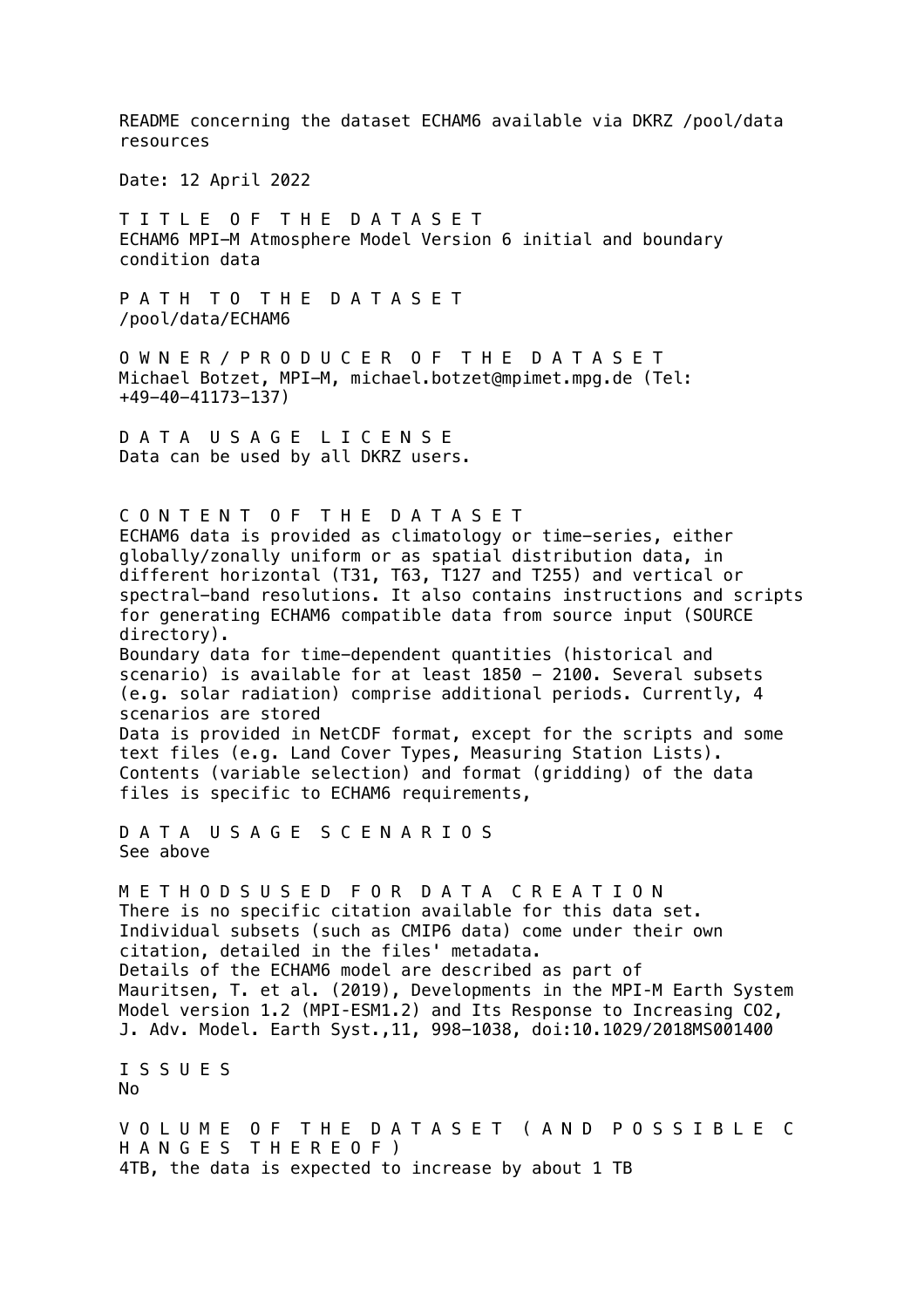README concerning the dataset ECHAM6 available via DKRZ /pool/data resources

Date: 12 April 2022

T I T L E O F T H E D A T A S E T ECHAM6 MPI-M Atmosphere Model Version 6 initial and boundary condition data

P A T H T O T H E D A T A S E T /pool/data/ECHAM6

O W N E R / P R O D U C E R O F T H E D A T A S E T Michael Botzet, MPI-M, michael.botzet@mpimet.mpg.de (Tel: +49-40-41173-137)

D A T A U S A G E L I C E N S E Data can be used by all DKRZ users.

C O N T E N T O F T H E D A T A S E T ECHAM6 data is provided as climatology or time-series, either globally/zonally uniform or as spatial distribution data, in different horizontal (T31, T63, T127 and T255) and vertical or spectral-band resolutions. It also contains instructions and scripts for generating ECHAM6 compatible data from source input (SOURCE directory). Boundary data for time-dependent quantities (historical and scenario) is available for at least 1850 - 2100. Several subsets (e.g. solar radiation) comprise additional periods. Currently, 4 scenarios are stored Data is provided in NetCDF format, except for the scripts and some text files (e.g. Land Cover Types, Measuring Station Lists). Contents (variable selection) and format (gridding) of the data files is specific to ECHAM6 requirements, D A T A U S A G E S C E N A R I O S See above M E T H O D S U S E D F O R D A T A C R E A T I O N

There is no specific citation available for this data set. Individual subsets (such as CMIP6 data) come under their own citation, detailed in the files' metadata. Details of the ECHAM6 model are described as part of Mauritsen, T. et al. (2019), Developments in the MPI‐M Earth System Model version 1.2 (MPI-ESM1.2) and Its Response to Increasing CO2, J. Adv. Model. Earth Syst.,11, 998-1038, doi:10.1029/2018MS001400

I S S U E S No

V O L U M E O F T H E D A T A S E T ( A N D P O S S I B L E C H A N G E S T H E R E O F ) 4TB, the data is expected to increase by about 1 TB